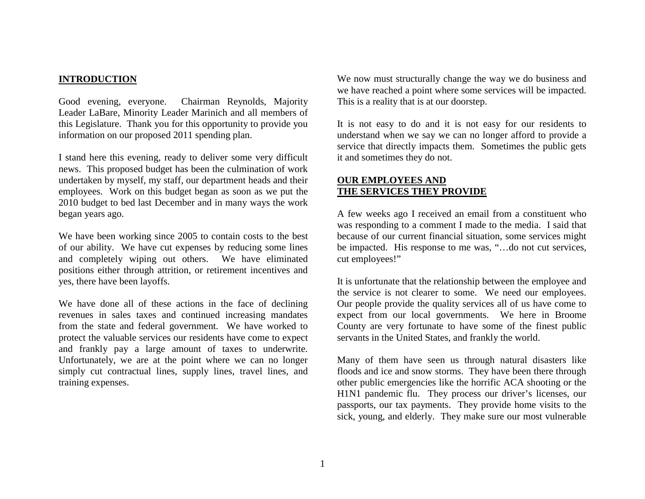### **INTRODUCTION**

Good evening, everyone. Chairman Reynolds, Majority Leader LaBare, Minority Leader Marinich and all members of this Legislature. Thank you for this opportunity to provide you information on our proposed 2011 spending plan.

I stand here this evening, ready to deliver some very difficult news. This proposed budget has been the culmination of work undertaken by myself, my staff, our department heads and their employees. Work on this budget began as soon as we put the 2010 budget to bed last December and in many ways the work began years ago.

We have been working since 2005 to contain costs to the best of our ability. We have cut expenses by reducing some lines and completely wiping out others. We have eliminated positions either through attrition, or retirement incentives and yes, there have been layoffs.

We have done all of these actions in the face of declining revenues in sales taxes and continued increasing mandates from the state and federal government. We have worked to protect the valuable services our residents have come to expect and frankly pay a large amount of taxes to underwrite. Unfortunately, we are at the point where we can no longer simply cut contractual lines, supply lines, travel lines, and training expenses.

We now must structurally change the way we do business and we have reached a point where some services will be impacted. This is a reality that is at our doorstep.

It is not easy to do and it is not easy for our residents to understand when we say we can no longer afford to provide a service that directly impacts them. Sometimes the public gets it and sometimes they do not.

### **OUR EMPLOYEES ANDTHE SERVICES THEY PROVIDE**

A few weeks ago I received an email from a constituent who was responding to a comment I made to the media. I said that because of our current financial situation, some services might be impacted. His response to me was, "…do not cut services, cut employees!"

It is unfortunate that the relationship between the employee and the service is not clearer to some. We need our employees. Our people provide the quality services all of us have come to expect from our local governments. We here in Broome County are very fortunate to have some of the finest public servants in the United States, and frankly the world.

Many of them have seen us through natural disasters like floods and ice and snow storms. They have been there through other public emergencies like the horrific ACA shooting or the H1N1 pandemic flu. They process our driver's licenses, our passports, our tax payments. They provide home visits to the sick, young, and elderly. They make sure our most vulnerable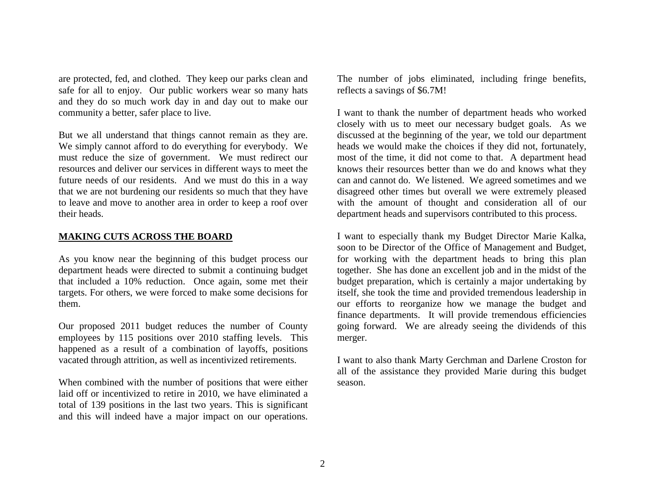are protected, fed, and clothed. They keep our parks clean and safe for all to enjoy. Our public workers wear so many hats and they do so much work day in and day out to make our community a better, safer place to live.

But we all understand that things cannot remain as they are. We simply cannot afford to do everything for everybody. We must reduce the size of government. We must redirect our resources and deliver our services in different ways to meet the future needs of our residents. And we must do this in a way that we are not burdening our residents so much that they have to leave and move to another area in order to keep a roof over their heads.

### **MAKING CUTS ACROSS THE BOARD**

As you know near the beginning of this budget process our department heads were directed to submit a continuing budget that included a 10% reduction. Once again, some met their targets. For others, we were forced to make some decisions for them.

Our proposed 2011 budget reduces the number of County employees by 115 positions over 2010 staffing levels. This happened as a result of a combination of layoffs, positions vacated through attrition, as well as incentivized retirements.

When combined with the number of positions that were either laid off or incentivized to retire in 2010, we have eliminated a total of 139 positions in the last two years. This is significant and this will indeed have a major impact on our operations.

The number of jobs eliminated, including fringe benefits, reflects a savings of \$6.7M!

I want to thank the number of department heads who worked closely with us to meet our necessary budget goals. As we discussed at the beginning of the year, we told our department heads we would make the choices if they did not, fortunately, most of the time, it did not come to that. A department head knows their resources better than we do and knows what they can and cannot do. We listened. We agreed sometimes and we disagreed other times but overall we were extremely pleased with the amount of thought and consideration all of our department heads and supervisors contributed to this process.

I want to especially thank my Budget Director Marie Kalka, soon to be Director of the Office of Management and Budget, for working with the department heads to bring this plan together. She has done an excellent job and in the midst of the budget preparation, which is certainly a major undertaking by itself, she took the time and provided tremendous leadership in our efforts to reorganize how we manage the budget and finance departments. It will provide tremendous efficiencies going forward. We are already seeing the dividends of this merger.

I want to also thank Marty Gerchman and Darlene Croston for all of the assistance they provided Marie during this budget season.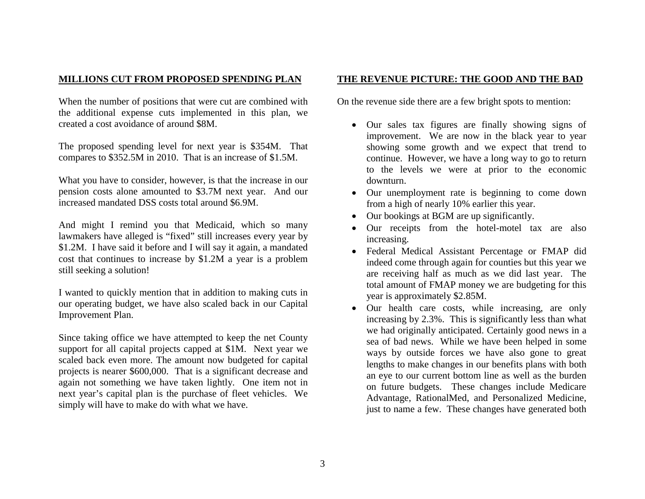# **MILLIONS CUT FROM PROPOSED SPENDING PLAN**

When the number of positions that were cut are combined with the additional expense cuts implemented in this plan, we created a cost avoidance of around \$8M.

The proposed spending level for next year is \$354M. That compares to \$352.5M in 2010. That is an increase of \$1.5M.

What you have to consider, however, is that the increase in our pension costs alone amounted to \$3.7M next year. And our increased mandated DSS costs total around \$6.9M.

And might I remind you that Medicaid, which so many lawmakers have alleged is "fixed" still increases every year by \$1.2M. I have said it before and I will say it again, a mandated cost that continues to increase by \$1.2M a year is a problem still seeking a solution!

I wanted to quickly mention that in addition to making cuts in our operating budget, we have also scaled back in our Capital Improvement Plan.

Since taking office we have attempted to keep the net County support for all capital projects capped at \$1M. Next year we scaled back even more. The amount now budgeted for capital projects is nearer \$600,000. That is a significant decrease and again not something we have taken lightly. One item not in next year's capital plan is the purchase of fleet vehicles. We simply will have to make do with what we have.

## **THE REVENUE PICTURE: THE GOOD AND THE BAD**

On the revenue side there are a few bright spots to mention:

- $\bullet$  Our sales tax figures are finally showing signs of improvement. We are now in the black year to year showing some growth and we expect that trend to continue. However, we have a long way to go to return to the levels we were at prior to the economic downturn.
- Our unemployment rate is beginning to come down from a high of nearly 10% earlier this year.
- Our bookings at BGM are up significantly.
- . Our receipts from the hotel-motel tax are also increasing.
- $\bullet$  Federal Medical Assistant Percentage or FMAP did indeed come through again for counties but this year we are receiving half as much as we did last year. The total amount of FMAP money we are budgeting for this year is approximately \$2.85M.
- $\bullet$  Our health care costs, while increasing, are only increasing by 2.3%. This is significantly less than what we had originally anticipated. Certainly good news in a sea of bad news. While we have been helped in some ways by outside forces we have also gone to great lengths to make changes in our benefits plans with both an eye to our current bottom line as well as the burden on future budgets. These changes include Medicare Advantage, RationalMed, and Personalized Medicine, just to name a few. These changes have generated both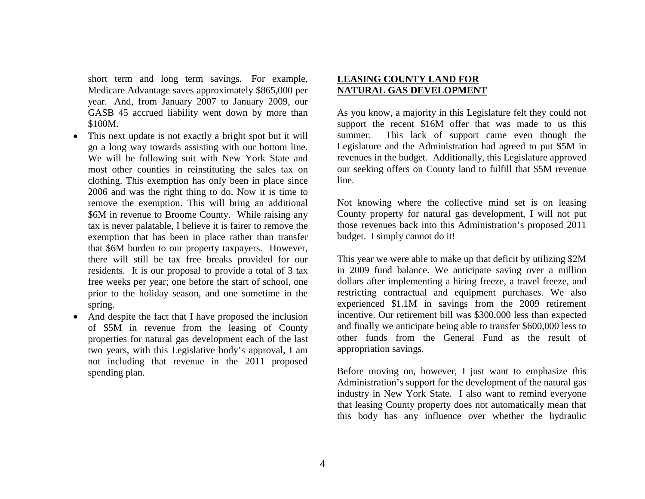short term and long term savings. For example, Medicare Advantage saves approximately \$865,000 per year. And, from January 2007 to January 2009, our GASB 45 accrued liability went down by more than \$100M.

- This next update is not exactly a bright spot but it will go a long way towards assisting with our bottom line. We will be following suit with New York State and most other counties in reinstituting the sales tax on clothing. This exemption has only been in place since 2006 and was the right thing to do. Now it is time to remove the exemption. This will bring an additional \$6M in revenue to Broome County. While raising any tax is never palatable, I believe it is fairer to remove the exemption that has been in place rather than transfer that \$6M burden to our property taxpayers. However, there will still be tax free breaks provided for our residents. It is our proposal to provide a total of 3 tax free weeks per year; one before the start of school, one prior to the holiday season, and one sometime in the spring.
- And despite the fact that I have proposed the inclusion of \$5M in revenue from the leasing of County properties for natural gas development each of the last two years, with this Legislative body's approval, I am not including that revenue in the 2011 proposed spending plan.

### **LEASING COUNTY LAND FOR NATURAL GAS DEVELOPMENT**

As you know, a majority in this Legislature felt they could not support the recent \$16M offer that was made to us this summer. This lack of support came even though the Legislature and the Administration had agreed to put \$5M in revenues in the budget. Additionally, this Legislature approved our seeking offers on County land to fulfill that \$5M revenue line.

Not knowing where the collective mind set is on leasing County property for natural gas development, I will not put those revenues back into this Administration's proposed 2011 budget. I simply cannot do it!

This year we were able to make up that deficit by utilizing \$2M in 2009 fund balance. We anticipate saving over a million dollars after implementing a hiring freeze, a travel freeze, and restricting contractual and equipment purchases. We also experienced \$1.1M in savings from the 2009 retirement incentive. Our retirement bill was \$300,000 less than expected and finally we anticipate being able to transfer \$600,000 less to other funds from the General Fund as the result of appropriation savings.

Before moving on, however, I just want to emphasize this Administration's support for the development of the natural gas industry in New York State. I also want to remind everyone that leasing County property does not automatically mean that this body has any influence over whether the hydraulic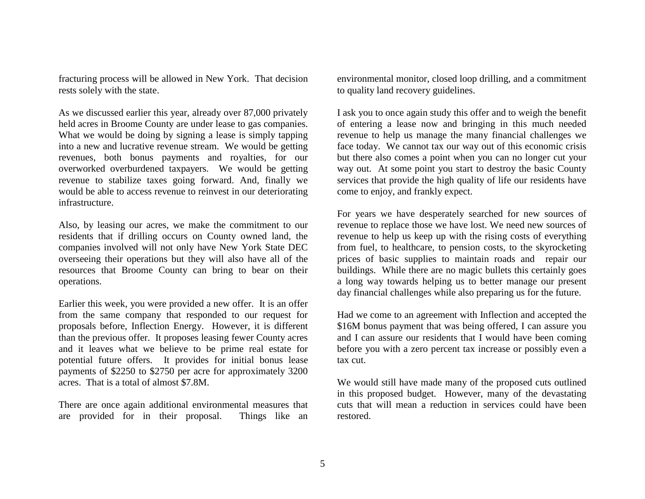fracturing process will be allowed in New York. That decision rests solely with the state.

As we discussed earlier this year, already over 87,000 privately held acres in Broome County are under lease to gas companies. What we would be doing by signing a lease is simply tapping into a new and lucrative revenue stream. We would be getting revenues, both bonus payments and royalties, for our overworked overburdened taxpayers. We would be getting revenue to stabilize taxes going forward. And, finally we would be able to access revenue to reinvest in our deteriorating infrastructure.

Also, by leasing our acres, we make the commitment to our residents that if drilling occurs on County owned land, the companies involved will not only have New York State DEC overseeing their operations but they will also have all of the resources that Broome County can bring to bear on their operations.

Earlier this week, you were provided a new offer. It is an offer from the same company that responded to our request for proposals before, Inflection Energy. However, it is different than the previous offer. It proposes leasing fewer County acres and it leaves what we believe to be prime real estate for potential future offers. It provides for initial bonus lease payments of \$2250 to \$2750 per acre for approximately 3200 acres. That is a total of almost \$7.8M.

There are once again additional environmental measures that are provided for in their proposal. Things like an

environmental monitor, closed loop drilling, and a commitment to quality land recovery guidelines.

I ask you to once again study this offer and to weigh the benefit of entering a lease now and bringing in this much needed revenue to help us manage the many financial challenges we face today. We cannot tax our way out of this economic crisis but there also comes a point when you can no longer cut your way out. At some point you start to destroy the basic County services that provide the high quality of life our residents have come to enjoy, and frankly expect.

For years we have desperately searched for new sources of revenue to replace those we have lost. We need new sources of revenue to help us keep up with the rising costs of everything from fuel, to healthcare, to pension costs, to the skyrocketing prices of basic supplies to maintain roads and repair our buildings. While there are no magic bullets this certainly goes a long way towards helping us to better manage our present day financial challenges while also preparing us for the future.

Had we come to an agreement with Inflection and accepted the \$16M bonus payment that was being offered, I can assure you and I can assure our residents that I would have been coming before you with a zero percent tax increase or possibly even a tax cut.

We would still have made many of the proposed cuts outlined in this proposed budget. However, many of the devastating cuts that will mean a reduction in services could have been restored.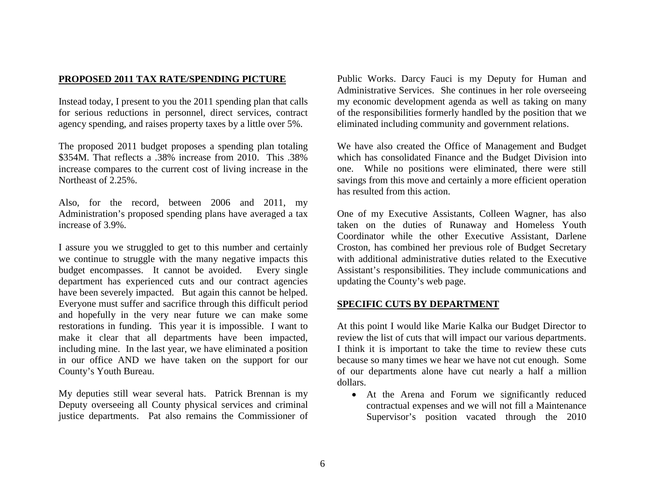## **PROPOSED 2011 TAX RATE/SPENDING PICTURE**

Instead today, I present to you the 2011 spending plan that calls for serious reductions in personnel, direct services, contract agency spending, and raises property taxes by a little over 5%.

The proposed 2011 budget proposes a spending plan totaling \$354M. That reflects a .38% increase from 2010. This .38% increase compares to the current cost of living increase in the Northeast of 2.25%.

Also, for the record, between 2006 and 2011, my Administration's proposed spending plans have averaged a tax increase of 3.9%.

I assure you we struggled to get to this number and certainly we continue to struggle with the many negative impacts this budget encompasses. It cannot be avoided. Every single department has experienced cuts and our contract agencies have been severely impacted. But again this cannot be helped. Everyone must suffer and sacrifice through this difficult period and hopefully in the very near future we can make some restorations in funding. This year it is impossible. I want to make it clear that all departments have been impacted, including mine. In the last year, we have eliminated a position in our office AND we have taken on the support for our County's Youth Bureau.

My deputies still wear several hats. Patrick Brennan is my Deputy overseeing all County physical services and criminal justice departments. Pat also remains the Commissioner of Public Works. Darcy Fauci is my Deputy for Human and Administrative Services. She continues in her role overseeing my economic development agenda as well as taking on many of the responsibilities formerly handled by the position that we eliminated including community and government relations.

We have also created the Office of Management and Budget which has consolidated Finance and the Budget Division into one. While no positions were eliminated, there were still savings from this move and certainly a more efficient operation has resulted from this action.

One of my Executive Assistants, Colleen Wagner, has also taken on the duties of Runaway and Homeless Youth Coordinator while the other Executive Assistant, Darlene Croston, has combined her previous role of Budget Secretary with additional administrative duties related to the Executive Assistant's responsibilities. They include communications and updating the County's web page.

### **SPECIFIC CUTS BY DEPARTMENT**

At this point I would like Marie Kalka our Budget Director to review the list of cuts that will impact our various departments. I think it is important to take the time to review these cuts because so many times we hear we have not cut enough. Some of our departments alone have cut nearly a half a million dollars.

 At the Arena and Forum we significantly reduced contractual expenses and we will not fill a Maintenance Supervisor's position vacated through the 2010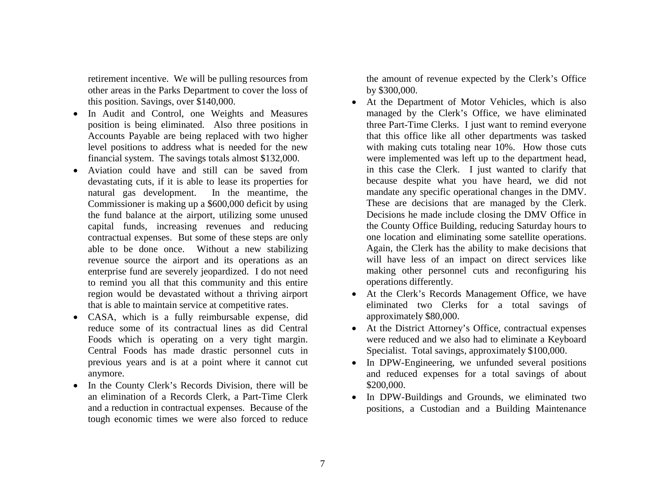retirement incentive. We will be pulling resources from other areas in the Parks Department to cover the loss of this position. Savings, over \$140,000.

- $\bullet$  In Audit and Control, one Weights and Measures position is being eliminated. Also three positions in Accounts Payable are being replaced with two higher level positions to address what is needed for the new financial system. The savings totals almost \$132,000.
- Aviation could have and still can be saved from devastating cuts, if it is able to lease its properties for natural gas development. In the meantime, the Commissioner is making up a \$600,000 deficit by using the fund balance at the airport, utilizing some unused capital funds, increasing revenues and reducing contractual expenses. But some of these steps are only able to be done once. Without a new stabilizing revenue source the airport and its operations as an enterprise fund are severely jeopardized. I do not need to remind you all that this community and this entire region would be devastated without a thriving airport that is able to maintain service at competitive rates.
- CASA, which is a fully reimbursable expense, did reduce some of its contractual lines as did Central Foods which is operating on a very tight margin. Central Foods has made drastic personnel cuts in previous years and is at a point where it cannot cut anymore.
- In the County Clerk's Records Division, there will be an elimination of a Records Clerk, a Part-Time Clerk and a reduction in contractual expenses. Because of the tough economic times we were also forced to reduce

the amount of revenue expected by the Clerk's Office by \$300,000.

- At the Department of Motor Vehicles, which is also managed by the Clerk's Office, we have eliminated three Part-Time Clerks. I just want to remind everyone that this office like all other departments was tasked with making cuts totaling near 10%. How those cuts were implemented was left up to the department head, in this case the Clerk. I just wanted to clarify that because despite what you have heard, we did not mandate any specific operational changes in the DMV. These are decisions that are managed by the Clerk. Decisions he made include closing the DMV Office in the County Office Building, reducing Saturday hours to one location and eliminating some satellite operations. Again, the Clerk has the ability to make decisions that will have less of an impact on direct services like making other personnel cuts and reconfiguring his operations differently.
- At the Clerk's Records Management Office, we have eliminated two Clerks for a total savings of approximately \$80,000.
- At the District Attorney's Office, contractual expenses were reduced and we also had to eliminate a Keyboard Specialist. Total savings, approximately \$100,000.
- In DPW-Engineering, we unfunded several positions and reduced expenses for a total savings of about \$200,000.
- $\bullet$  In DPW-Buildings and Grounds, we eliminated two positions, a Custodian and a Building Maintenance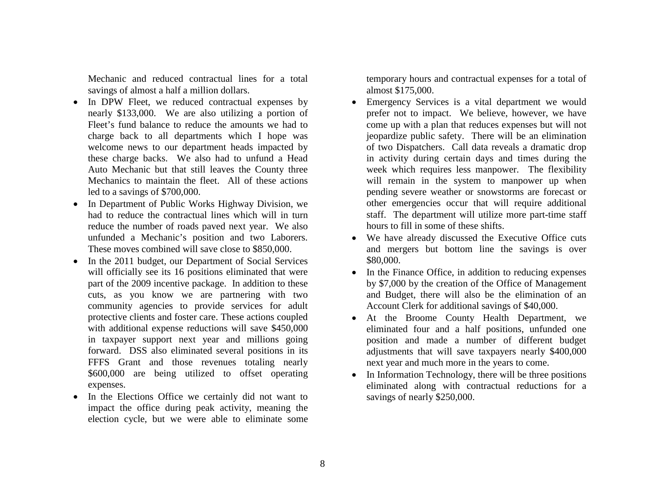Mechanic and reduced contractual lines for a total savings of almost a half a million dollars.

- In DPW Fleet, we reduced contractual expenses by nearly \$133,000. We are also utilizing a portion of Fleet's fund balance to reduce the amounts we had to charge back to all departments which I hope was welcome news to our department heads impacted by these charge backs. We also had to unfund a Head Auto Mechanic but that still leaves the County three Mechanics to maintain the fleet. All of these actions led to a savings of \$700,000.
- In Department of Public Works Highway Division, we had to reduce the contractual lines which will in turn reduce the number of roads paved next year. We also unfunded a Mechanic's position and two Laborers. These moves combined will save close to \$850,000.
- $\bullet$  In the 2011 budget, our Department of Social Services will officially see its 16 positions eliminated that were part of the 2009 incentive package. In addition to these cuts, as you know we are partnering with two community agencies to provide services for adult protective clients and foster care. These actions coupled with additional expense reductions will save \$450,000 in taxpayer support next year and millions going forward. DSS also eliminated several positions in its FFFS Grant and those revenues totaling nearly \$600,000 are being utilized to offset operating expenses.
- In the Elections Office we certainly did not want to impact the office during peak activity, meaning the election cycle, but we were able to eliminate some

temporary hours and contractual expenses for a total of almost \$175,000.

- $\bullet$  Emergency Services is a vital department we would prefer not to impact. We believe, however, we have come up with a plan that reduces expenses but will not jeopardize public safety. There will be an elimination of two Dispatchers. Call data reveals a dramatic drop in activity during certain days and times during the week which requires less manpower. The flexibility will remain in the system to manpower up when pending severe weather or snowstorms are forecast or other emergencies occur that will require additional staff. The department will utilize more part-time staff hours to fill in some of these shifts.
- We have already discussed the Executive Office cuts and mergers but bottom line the savings is over \$80,000.
- In the Finance Office, in addition to reducing expenses by \$7,000 by the creation of the Office of Management and Budget, there will also be the elimination of an Account Clerk for additional savings of \$40,000.
- At the Broome County Health Department, we eliminated four and a half positions, unfunded one position and made a number of different budget adjustments that will save taxpayers nearly \$400,000 next year and much more in the years to come.
- $\bullet$  In Information Technology, there will be three positions eliminated along with contractual reductions for a savings of nearly \$250,000.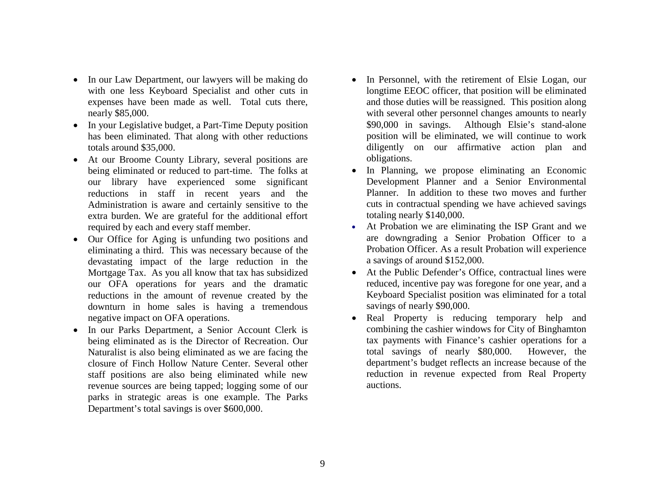- In our Law Department, our lawyers will be making do with one less Keyboard Specialist and other cuts in expenses have been made as well. Total cuts there, nearly \$85,000.
- In your Legislative budget, a Part-Time Deputy position has been eliminated. That along with other reductions totals around \$35,000.
- At our Broome County Library, several positions are being eliminated or reduced to part-time. The folks at our library have experienced some significant reductions in staff in recent years and the Administration is aware and certainly sensitive to the extra burden. We are grateful for the additional effort required by each and every staff member.
- Our Office for Aging is unfunding two positions and eliminating a third. This was necessary because of the devastating impact of the large reduction in the Mortgage Tax. As you all know that tax has subsidized our OFA operations for years and the dramatic reductions in the amount of revenue created by the downturn in home sales is having a tremendous negative impact on OFA operations.
- In our Parks Department, a Senior Account Clerk is being eliminated as is the Director of Recreation. Our Naturalist is also being eliminated as we are facing the closure of Finch Hollow Nature Center. Several other staff positions are also being eliminated while new revenue sources are being tapped; logging some of our parks in strategic areas is one example. The Parks Department's total savings is over \$600,000.
- In Personnel, with the retirement of Elsie Logan, our longtime EEOC officer, that position will be eliminated and those duties will be reassigned. This position along with several other personnel changes amounts to nearly \$90,000 in savings. Although Elsie's stand-alone position will be eliminated, we will continue to work diligently on our affirmative action plan and obligations.
- $\bullet$  In Planning, we propose eliminating an Economic Development Planner and a Senior Environmental Planner. In addition to these two moves and further cuts in contractual spending we have achieved savings totaling nearly \$140,000.
- At Probation we are eliminating the ISP Grant and we are downgrading a Senior Probation Officer to a Probation Officer. As a result Probation will experience a savings of around \$152,000.
- At the Public Defender's Office, contractual lines were reduced, incentive pay was foregone for one year, and a Keyboard Specialist position was eliminated for a total savings of nearly \$90,000.
- $\bullet$  Real Property is reducing temporary help and combining the cashier windows for City of Binghamton tax payments with Finance's cashier operations for a total savings of nearly \$80,000. However, the department's budget reflects an increase because of the reduction in revenue expected from Real Property auctions.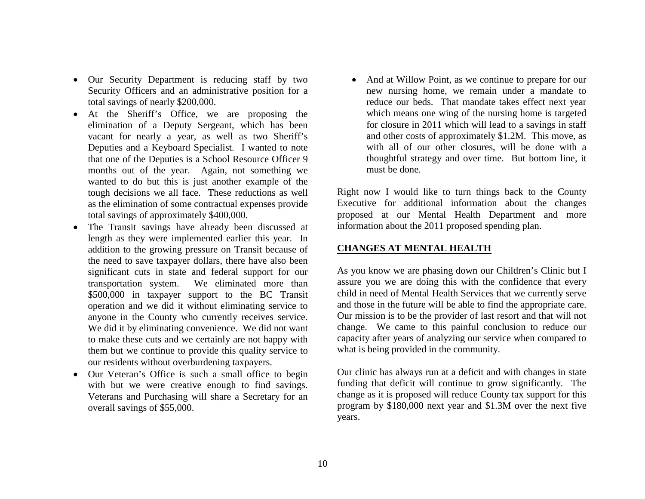- Our Security Department is reducing staff by two Security Officers and an administrative position for a total savings of nearly \$200,000.
- At the Sheriff's Office, we are proposing the elimination of a Deputy Sergeant, which has been vacant for nearly a year, as well as two Sheriff's Deputies and a Keyboard Specialist. I wanted to note that one of the Deputies is a School Resource Officer 9 months out of the year. Again, not something we wanted to do but this is just another example of the tough decisions we all face. These reductions as well as the elimination of some contractual expenses provide total savings of approximately \$400,000.
- The Transit savings have already been discussed at length as they were implemented earlier this year. In addition to the growing pressure on Transit because of the need to save taxpayer dollars, there have also been significant cuts in state and federal support for our transportation system. We eliminated more than \$500,000 in taxpayer support to the BC Transit operation and we did it without eliminating service to anyone in the County who currently receives service. We did it by eliminating convenience. We did not want to make these cuts and we certainly are not happy with them but we continue to provide this quality service to our residents without overburdening taxpayers.
- Our Veteran's Office is such a small office to begin with but we were creative enough to find savings. Veterans and Purchasing will share a Secretary for an overall savings of \$55,000.

• And at Willow Point, as we continue to prepare for our new nursing home, we remain under a mandate to reduce our beds. That mandate takes effect next year which means one wing of the nursing home is targeted for closure in 2011 which will lead to a savings in staff and other costs of approximately \$1.2M. This move, as with all of our other closures, will be done with a thoughtful strategy and over time. But bottom line, it must be done.

Right now I would like to turn things back to the County Executive for additional information about the changes proposed at our Mental Health Department and more information about the 2011 proposed spending plan.

## **CHANGES AT MENTAL HEALTH**

As you know we are phasing down our Children's Clinic but I assure you we are doing this with the confidence that every child in need of Mental Health Services that we currently serve and those in the future will be able to find the appropriate care. Our mission is to be the provider of last resort and that will not change. We came to this painful conclusion to reduce our capacity after years of analyzing our service when compared to what is being provided in the community.

Our clinic has always run at a deficit and with changes in state funding that deficit will continue to grow significantly. The change as it is proposed will reduce County tax support for this program by \$180,000 next year and \$1.3M over the next five years.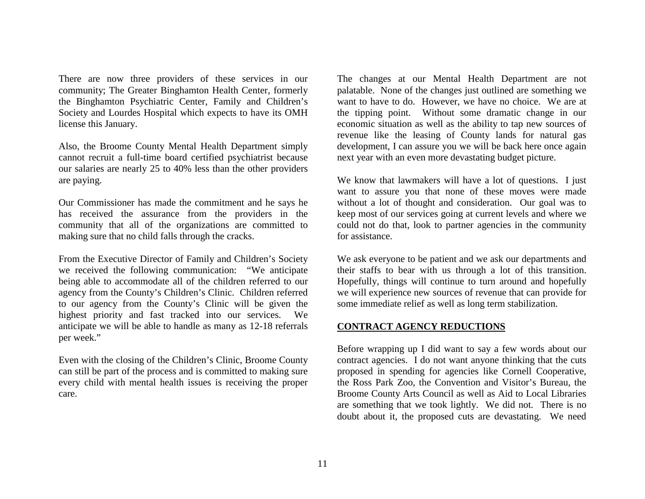There are now three providers of these services in our community; The Greater Binghamton Health Center, formerly the Binghamton Psychiatric Center, Family and Children's Society and Lourdes Hospital which expects to have its OMH license this January.

Also, the Broome County Mental Health Department simply cannot recruit a full-time board certified psychiatrist because our salaries are nearly 25 to 40% less than the other providers are paying.

Our Commissioner has made the commitment and he says he has received the assurance from the providers in the community that all of the organizations are committed to making sure that no child falls through the cracks.

From the Executive Director of Family and Children's Society we received the following communication: "We anticipate being able to accommodate all of the children referred to our agency from the County's Children's Clinic. Children referred to our agency from the County's Clinic will be given the highest priority and fast tracked into our services. We anticipate we will be able to handle as many as 12-18 referrals per week."

Even with the closing of the Children's Clinic, Broome County can still be part of the process and is committed to making sure every child with mental health issues is receiving the proper care.

The changes at our Mental Health Department are not palatable. None of the changes just outlined are something we want to have to do. However, we have no choice. We are at the tipping point. Without some dramatic change in our economic situation as well as the ability to tap new sources of revenue like the leasing of County lands for natural gas development, I can assure you we will be back here once again next year with an even more devastating budget picture.

We know that lawmakers will have a lot of questions. I just want to assure you that none of these moves were made without a lot of thought and consideration. Our goal was to keep most of our services going at current levels and where we could not do that, look to partner agencies in the community for assistance.

We ask everyone to be patient and we ask our departments and their staffs to bear with us through a lot of this transition. Hopefully, things will continue to turn around and hopefully we will experience new sources of revenue that can provide for some immediate relief as well as long term stabilization.

### **CONTRACT AGENCY REDUCTIONS**

Before wrapping up I did want to say a few words about our contract agencies. I do not want anyone thinking that the cuts proposed in spending for agencies like Cornell Cooperative, the Ross Park Zoo, the Convention and Visitor's Bureau, the Broome County Arts Council as well as Aid to Local Libraries are something that we took lightly. We did not. There is no doubt about it, the proposed cuts are devastating. We need